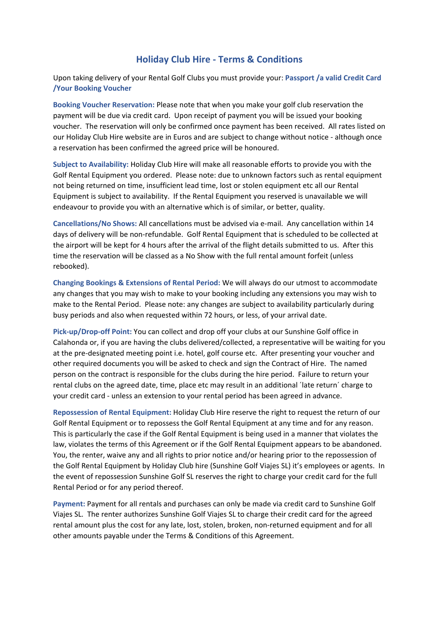## **Holiday Club Hire ‐ Terms & Conditions**

Upon taking delivery of your Rental Golf Clubs you must provide your: **Passport /a valid Credit Card /Your Booking Voucher** 

**Booking Voucher Reservation:** Please note that when you make your golf club reservation the payment will be due via credit card. Upon receipt of payment you will be issued your booking voucher. The reservation will only be confirmed once payment has been received. All rates listed on our Holiday Club Hire website are in Euros and are subject to change without notice ‐ although once a reservation has been confirmed the agreed price will be honoured.

**Subject to Availability:** Holiday Club Hire will make all reasonable efforts to provide you with the Golf Rental Equipment you ordered. Please note: due to unknown factors such as rental equipment not being returned on time, insufficient lead time, lost or stolen equipment etc all our Rental Equipment is subject to availability. If the Rental Equipment you reserved is unavailable we will endeavour to provide you with an alternative which is of similar, or better, quality.

**Cancellations/No Shows:** All cancellations must be advised via e‐mail. Any cancellation within 14 days of delivery will be non-refundable. Golf Rental Equipment that is scheduled to be collected at the airport will be kept for 4 hours after the arrival of the flight details submitted to us. After this time the reservation will be classed as a No Show with the full rental amount forfeit (unless rebooked).

**Changing Bookings & Extensions of Rental Period:** We will always do our utmost to accommodate any changes that you may wish to make to your booking including any extensions you may wish to make to the Rental Period. Please note: any changes are subject to availability particularly during busy periods and also when requested within 72 hours, or less, of your arrival date.

**Pick‐up/Drop‐off Point:** You can collect and drop off your clubs at our Sunshine Golf office in Calahonda or, if you are having the clubs delivered/collected, a representative will be waiting for you at the pre‐designated meeting point i.e. hotel, golf course etc. After presenting your voucher and other required documents you will be asked to check and sign the Contract of Hire. The named person on the contract is responsible for the clubs during the hire period. Failure to return your rental clubs on the agreed date, time, place etc may result in an additional ´late return´ charge to your credit card ‐ unless an extension to your rental period has been agreed in advance.

**Repossession of Rental Equipment:** Holiday Club Hire reserve the right to request the return of our Golf Rental Equipment or to repossess the Golf Rental Equipment at any time and for any reason. This is particularly the case if the Golf Rental Equipment is being used in a manner that violates the law, violates the terms of this Agreement or if the Golf Rental Equipment appears to be abandoned. You, the renter, waive any and all rights to prior notice and/or hearing prior to the repossession of the Golf Rental Equipment by Holiday Club hire (Sunshine Golf Viajes SL) it's employees or agents. In the event of repossession Sunshine Golf SL reserves the right to charge your credit card for the full Rental Period or for any period thereof.

**Payment:** Payment for all rentals and purchases can only be made via credit card to Sunshine Golf Viajes SL. The renter authorizes Sunshine Golf Viajes SL to charge their credit card for the agreed rental amount plus the cost for any late, lost, stolen, broken, non-returned equipment and for all other amounts payable under the Terms & Conditions of this Agreement.